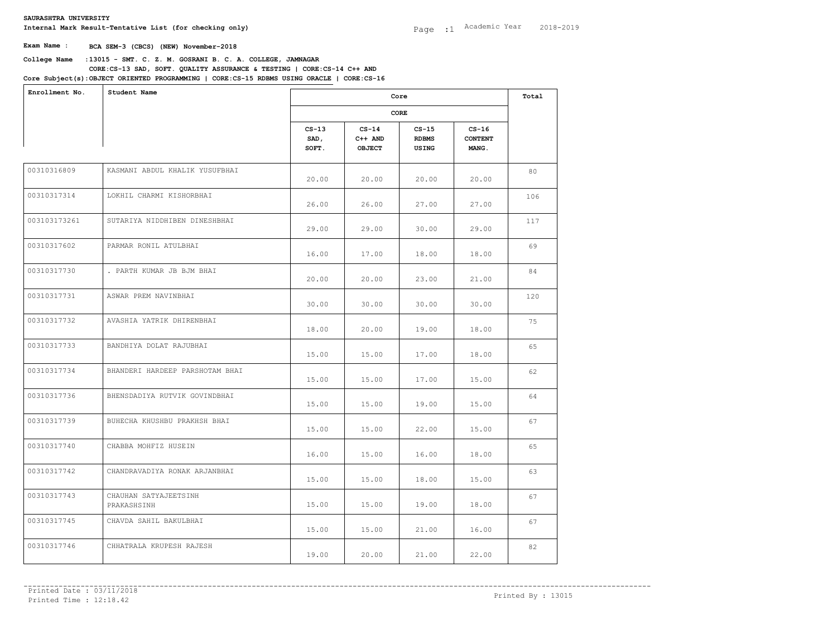**College Name** :**13015 - SMT. C. Z. M. GOSRANI B. C. A. COLLEGE, JAMNAGAR** Internal Mark Result-Tentative List (for checking only)<br>
Exam Name : BCA SEM-3 (CBCS) (NEW) November-2018<br>
College Name :13015 - SMT. C. Z. M. GOSRANI B. C. A. COLLEGE, JAMNAGAR<br>
CORE:CS-13 SAD, SOFT. QUALITY ASSURANCE & T **CORE:CS-13 SAD, SOFT. QUALITY ASSURANCE & TESTING | CORE:CS-14 C++ AND OBJECT ORIENTED PROGRAMMING | CORE:CS-15 RDBMS USING ORACLE | CORE:CS-16** 

| Enrollment No. | Student Name                         |                          | Core                           |                                  |                                           |     |  |
|----------------|--------------------------------------|--------------------------|--------------------------------|----------------------------------|-------------------------------------------|-----|--|
|                |                                      |                          |                                | CORE                             |                                           |     |  |
|                |                                      | $CS-13$<br>SAD,<br>SOFT. | $CS-14$<br>$C++$ AND<br>OBJECT | $CS-15$<br><b>RDBMS</b><br>USING | $CS-16$<br><b>CONTENT</b><br><b>MANG.</b> |     |  |
| 00310316809    | KASMANI ABDUL KHALIK YUSUFBHAI       | 20.00                    | 20.00                          | 20.00                            | 20.00                                     | 80  |  |
| 00310317314    | LOKHIL CHARMI KISHORBHAI             | 26.00                    | 26.00                          | 27.00                            | 27.00                                     | 106 |  |
| 003103173261   | SUTARIYA NIDDHIBEN DINESHBHAI        | 29.00                    | 29.00                          | 30.00                            | 29.00                                     | 117 |  |
| 00310317602    | PARMAR RONIL ATULBHAI                | 16.00                    | 17.00                          | 18.00                            | 18.00                                     | 69  |  |
| 00310317730    | . PARTH KUMAR JB BJM BHAI            | 20.00                    | 20.00                          | 23.00                            | 21.00                                     | 84  |  |
| 00310317731    | ASWAR PREM NAVINBHAI                 | 30.00                    | 30.00                          | 30.00                            | 30.00                                     | 120 |  |
| 00310317732    | AVASHIA YATRIK DHIRENBHAI            | 18.00                    | 20.00                          | 19.00                            | 18.00                                     | 75  |  |
| 00310317733    | BANDHIYA DOLAT RAJUBHAI              | 15.00                    | 15.00                          | 17.00                            | 18.00                                     | 65  |  |
| 00310317734    | BHANDERI HARDEEP PARSHOTAM BHAI      | 15.00                    | 15.00                          | 17.00                            | 15.00                                     | 62  |  |
| 00310317736    | BHENSDADIYA RUTVIK GOVINDBHAI        | 15.00                    | 15.00                          | 19.00                            | 15.00                                     | 64  |  |
| 00310317739    | BUHECHA KHUSHBU PRAKHSH BHAI         | 15.00                    | 15.00                          | 22.00                            | 15.00                                     | 67  |  |
| 00310317740    | CHABBA MOHFIZ HUSEIN                 | 16.00                    | 15.00                          | 16.00                            | 18.00                                     | 65  |  |
| 00310317742    | CHANDRAVADIYA RONAK ARJANBHAI        | 15.00                    | 15.00                          | 18.00                            | 15.00                                     | 63  |  |
| 00310317743    | CHAUHAN SATYAJEETSINH<br>PRAKASHSINH | 15.00                    | 15.00                          | 19.00                            | 18.00                                     | 67  |  |
| 00310317745    | CHAVDA SAHIL BAKULBHAI               | 15.00                    | 15.00                          | 21.00                            | 16.00                                     | 67  |  |
| 00310317746    | CHHATRALA KRUPESH RAJESH             | 19.00                    | 20.00                          | 21.00                            | 22.00                                     | 82  |  |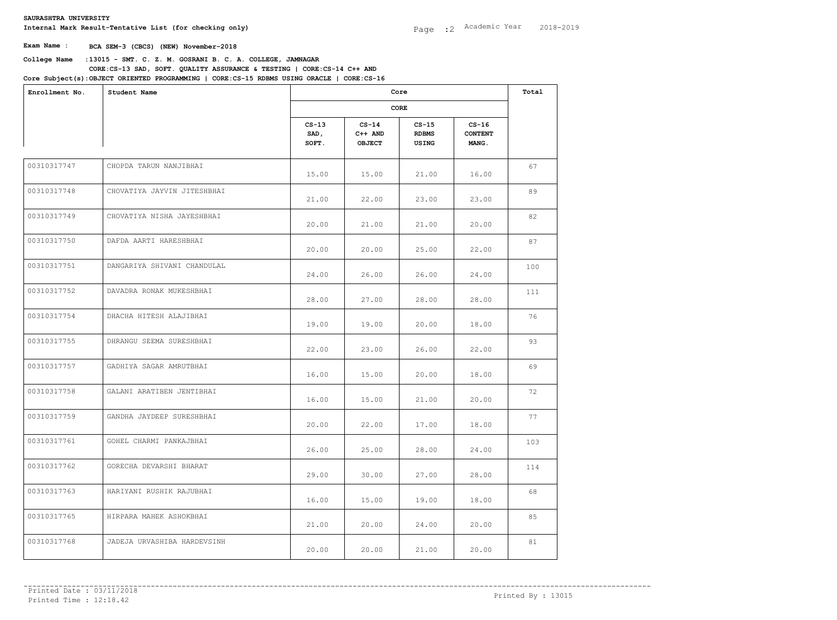**College Name** :**13015 - SMT. C. Z. M. GOSRANI B. C. A. COLLEGE, JAMNAGAR** Internal Mark Result-Tentative List (for checking only)<br>
Exam Name : BCA SEM-3 (CBCS) (NEW) November-2018<br>
College Name :13015 - SMT. C. Z. M. GOSRANI B. C. A. COLLEGE, JAMNAGAR<br>
CORE:CS-13 SAD, SOFT. QUALITY ASSURANCE & T **CORE:CS-13 SAD, SOFT. QUALITY ASSURANCE & TESTING | CORE:CS-14 C++ AND** 

| Enrollment No. | Student Name                |                          | Core<br>CORE                   |                                  |                                           |     |  |
|----------------|-----------------------------|--------------------------|--------------------------------|----------------------------------|-------------------------------------------|-----|--|
|                |                             |                          |                                |                                  |                                           |     |  |
|                |                             | $CS-13$<br>SAD,<br>SOFT. | $CS-14$<br>$C++$ AND<br>OBJECT | $CS-15$<br><b>RDBMS</b><br>USING | $CS-16$<br><b>CONTENT</b><br><b>MANG.</b> |     |  |
| 00310317747    | CHOPDA TARUN NANJIBHAI      | 15.00                    | 15.00                          | 21.00                            | 16.00                                     | 67  |  |
| 00310317748    | CHOVATIYA JAYVIN JITESHBHAI | 21.00                    | 22.00                          | 23.00                            | 23.00                                     | 89  |  |
| 00310317749    | CHOVATIYA NISHA JAYESHBHAI  | 20.00                    | 21.00                          | 21.00                            | 20.00                                     | 82  |  |
| 00310317750    | DAFDA AARTI HARESHBHAI      | 20.00                    | 20.00                          | 25.00                            | 22.00                                     | 87  |  |
| 00310317751    | DANGARIYA SHIVANI CHANDULAL | 24.00                    | 26.00                          | 26.00                            | 24.00                                     | 100 |  |
| 00310317752    | DAVADRA RONAK MUKESHBHAI    | 28.00                    | 27.00                          | 28.00                            | 28.00                                     | 111 |  |
| 00310317754    | DHACHA HITESH ALAJIBHAI     | 19.00                    | 19.00                          | 20.00                            | 18.00                                     | 76  |  |
| 00310317755    | DHRANGU SEEMA SURESHBHAI    | 22.00                    | 23.00                          | 26.00                            | 22.00                                     | 93  |  |
| 00310317757    | GADHIYA SAGAR AMRUTBHAI     | 16.00                    | 15.00                          | 20.00                            | 18.00                                     | 69  |  |
| 00310317758    | GALANI ARATIBEN JENTIBHAI   | 16.00                    | 15.00                          | 21.00                            | 20.00                                     | 72  |  |
| 00310317759    | GANDHA JAYDEEP SURESHBHAI   | 20.00                    | 22.00                          | 17.00                            | 18.00                                     | 77  |  |
| 00310317761    | GOHEL CHARMI PANKAJBHAI     | 26.00                    | 25.00                          | 28.00                            | 24.00                                     | 103 |  |
| 00310317762    | GORECHA DEVARSHI BHARAT     | 29.00                    | 30.00                          | 27.00                            | 28.00                                     | 114 |  |
| 00310317763    | HARIYANI RUSHIK RAJUBHAI    | 16.00                    | 15.00                          | 19.00                            | 18.00                                     | 68  |  |
| 00310317765    | HIRPARA MAHEK ASHOKBHAI     | 21.00                    | 20.00                          | 24.00                            | 20.00                                     | 85  |  |
| 00310317768    | JADEJA URVASHIBA HARDEVSINH | 20.00                    | 20.00                          | 21.00                            | 20.00                                     | 81  |  |
|                |                             |                          |                                |                                  |                                           |     |  |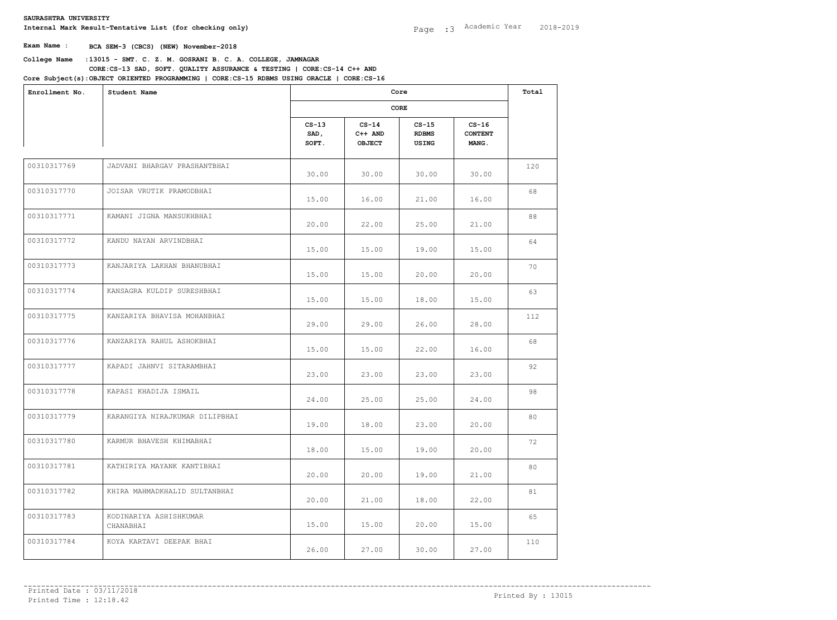**College Name** :**13015 - SMT. C. Z. M. GOSRANI B. C. A. COLLEGE, JAMNAGAR** Internal Mark Result-Tentative List (for checking only)<br>
Exam Name : BCA SEM-3 (CBCS) (NEW) November-2018<br>
College Name :13015 - SMT. C. Z. M. GOSRANI B. C. A. COLLEGE, JAMNAGAR<br>
CORE:CS-13 SAD, SOFT. QUALITY ASSURANCE & T **CORE:CS-13 SAD, SOFT. QUALITY ASSURANCE & TESTING | CORE:CS-14 C++ AND** 

| Enrollment No. | Student Name                        |                          | Core<br>CORE                   |                                  |                                           |     |  |
|----------------|-------------------------------------|--------------------------|--------------------------------|----------------------------------|-------------------------------------------|-----|--|
|                |                                     |                          |                                |                                  |                                           |     |  |
|                |                                     | $CS-13$<br>SAD,<br>SOFT. | $CS-14$<br>$C++$ AND<br>OBJECT | $CS-15$<br><b>RDBMS</b><br>USING | $CS-16$<br><b>CONTENT</b><br><b>MANG.</b> |     |  |
| 00310317769    | JADVANI BHARGAV PRASHANTBHAI        | 30.00                    | 30.00                          | 30.00                            | 30.00                                     | 120 |  |
| 00310317770    | JOISAR VRUTIK PRAMODBHAI            | 15.00                    | 16.00                          | 21.00                            | 16.00                                     | 68  |  |
| 00310317771    | KAMANI JIGNA MANSUKHBHAI            | 20.00                    | 22.00                          | 25.00                            | 21.00                                     | 88  |  |
| 00310317772    | KANDU NAYAN ARVINDBHAI              | 15.00                    | 15.00                          | 19.00                            | 15.00                                     | 64  |  |
| 00310317773    | KANJARIYA LAKHAN BHANUBHAI          | 15.00                    | 15.00                          | 20.00                            | 20.00                                     | 70  |  |
| 00310317774    | KANSAGRA KULDIP SURESHBHAI          | 15.00                    | 15.00                          | 18.00                            | 15.00                                     | 63  |  |
| 00310317775    | KANZARIYA BHAVISA MOHANBHAI         | 29.00                    | 29.00                          | 26.00                            | 28.00                                     | 112 |  |
| 00310317776    | KANZARIYA RAHUL ASHOKBHAI           | 15.00                    | 15.00                          | 22.00                            | 16.00                                     | 68  |  |
| 00310317777    | KAPADI JAHNVI SITARAMBHAI           | 23.00                    | 23.00                          | 23.00                            | 23.00                                     | 92  |  |
| 00310317778    | KAPASI KHADIJA ISMAIL               | 24.00                    | 25.00                          | 25.00                            | 24.00                                     | 98  |  |
| 00310317779    | KARANGIYA NIRAJKUMAR DILIPBHAI      | 19.00                    | 18.00                          | 23.00                            | 20.00                                     | 80  |  |
| 00310317780    | KARMUR BHAVESH KHIMABHAI            | 18.00                    | 15.00                          | 19.00                            | 20.00                                     | 72  |  |
| 00310317781    | KATHIRIYA MAYANK KANTIBHAI          | 20.00                    | 20.00                          | 19.00                            | 21.00                                     | 80  |  |
| 00310317782    | KHIRA MAHMADKHALID SULTANBHAI       | 20.00                    | 21.00                          | 18.00                            | 22.00                                     | 81  |  |
| 00310317783    | KODINARIYA ASHISHKUMAR<br>CHANABHAI | 15.00                    | 15.00                          | 20.00                            | 15.00                                     | 65  |  |
| 00310317784    | KOYA KARTAVI DEEPAK BHAI            | 26.00                    | 27.00                          | 30.00                            | 27.00                                     | 110 |  |
|                |                                     |                          |                                |                                  |                                           |     |  |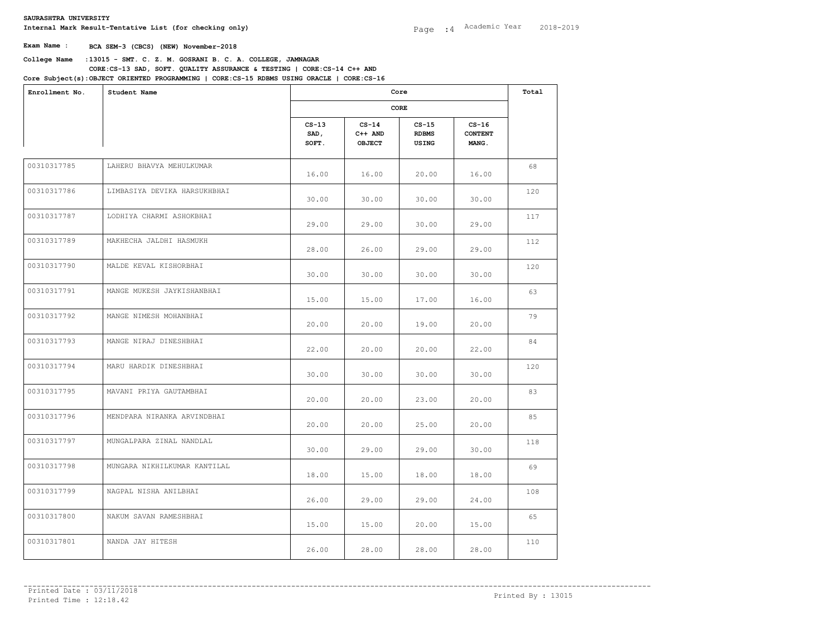**College Name** :**13015 - SMT. C. Z. M. GOSRANI B. C. A. COLLEGE, JAMNAGAR** Internal Mark Result-Tentative List (for checking only)<br>
Exam Name : BCA SEM-3 (CBCS) (NEW) November-2018<br>
College Name :13015 - SMT. C. Z. M. GOSRANI B. C. A. COLLEGE, JAMNAGAR<br>
CORE:CS-13 SAD, SOFT. QUALITY ASSURANCE & T **CORE:CS-13 SAD, SOFT. QUALITY ASSURANCE & TESTING | CORE:CS-14 C++ AND OBJECT ORIENTED PROGRAMMING | CORE:CS-15 RDBMS USING ORACLE | CORE:CS-16** 

| Enrollment No. | Student Name                 |                          | Core<br>CORE                 |                                  |                                    |     |  |
|----------------|------------------------------|--------------------------|------------------------------|----------------------------------|------------------------------------|-----|--|
|                |                              |                          |                              |                                  |                                    |     |  |
|                |                              | $CS-13$<br>SAD,<br>SOFT. | $CS-14$<br>C++ AND<br>OBJECT | $CS-15$<br><b>RDBMS</b><br>USING | $CS-16$<br><b>CONTENT</b><br>MANG. |     |  |
| 00310317785    | LAHERU BHAVYA MEHULKUMAR     | 16.00                    | 16.00                        | 20.00                            | 16.00                              | 68  |  |
| 00310317786    | LIMBASIYA DEVIKA HARSUKHBHAI | 30.00                    | 30.00                        | 30.00                            | 30.00                              | 120 |  |
| 00310317787    | LODHIYA CHARMI ASHOKBHAI     | 29.00                    | 29.00                        | 30.00                            | 29.00                              | 117 |  |
| 00310317789    | MAKHECHA JALDHI HASMUKH      | 28.00                    | 26.00                        | 29.00                            | 29.00                              | 112 |  |
| 00310317790    | MALDE KEVAL KISHORBHAI       | 30.00                    | 30.00                        | 30.00                            | 30.00                              | 120 |  |
| 00310317791    | MANGE MUKESH JAYKISHANBHAI   | 15.00                    | 15.00                        | 17.00                            | 16.00                              | 63  |  |
| 00310317792    | MANGE NIMESH MOHANBHAI       | 20.00                    | 20.00                        | 19.00                            | 20.00                              | 79  |  |
| 00310317793    | MANGE NIRAJ DINESHBHAI       | 22.00                    | 20.00                        | 20.00                            | 22.00                              | 84  |  |
| 00310317794    | MARU HARDIK DINESHBHAI       | 30.00                    | 30.00                        | 30.00                            | 30.00                              | 120 |  |
| 00310317795    | MAVANI PRIYA GAUTAMBHAI      | 20.00                    | 20.00                        | 23.00                            | 20.00                              | 83  |  |
| 00310317796    | MENDPARA NIRANKA ARVINDBHAI  | 20.00                    | 20.00                        | 25.00                            | 20.00                              | 85  |  |
| 00310317797    | MUNGALPARA ZINAL NANDLAL     | 30.00                    | 29.00                        | 29.00                            | 30.00                              | 118 |  |
| 00310317798    | MUNGARA NIKHILKUMAR KANTILAL | 18.00                    | 15.00                        | 18.00                            | 18.00                              | 69  |  |
| 00310317799    | NAGPAL NISHA ANILBHAI        | 26.00                    | 29.00                        | 29.00                            | 24.00                              | 108 |  |
| 00310317800    | NAKUM SAVAN RAMESHBHAI       | 15.00                    | 15.00                        | 20.00                            | 15.00                              | 65  |  |
| 00310317801    | NANDA JAY HITESH             | 26.00                    | 28.00                        | 28.00                            | 28.00                              | 110 |  |
|                |                              |                          |                              |                                  |                                    |     |  |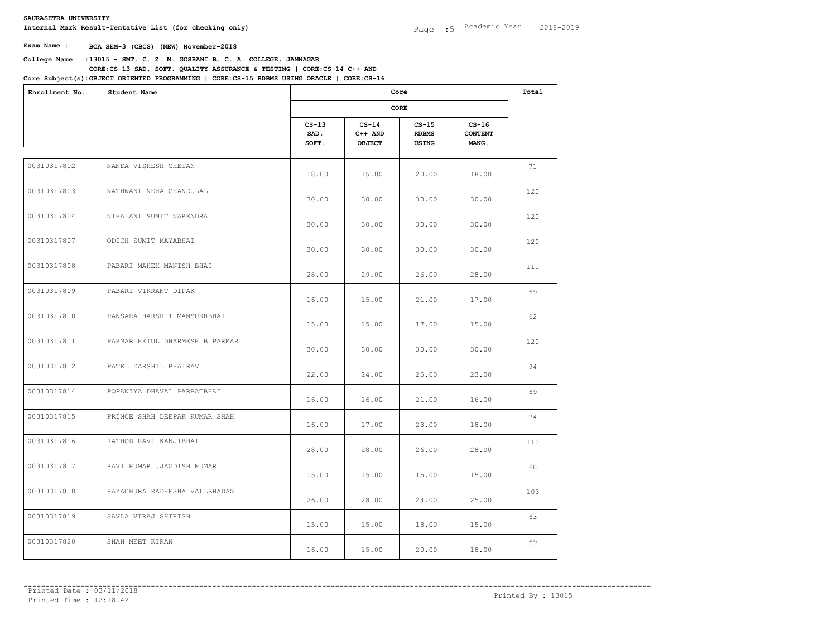**College Name** :**13015 - SMT. C. Z. M. GOSRANI B. C. A. COLLEGE, JAMNAGAR** Internal Mark Result-Tentative List (for checking only)<br>
Exam Name : BCA SEM-3 (CBCS) (NEW) November-2018<br>
College Name :13015 - SMT. C. Z. M. GOSRANI B. C. A. COLLEGE, JAMNAGAR<br>
CORE:CS-13 SAD, SOFT. QUALITY ASSURANCE & T **CORE:CS-13 SAD, SOFT. QUALITY ASSURANCE & TESTING | CORE:CS-14 C++ AND** 

| Enrollment No. | Student Name                   |                          | Core<br>CORE                 |                                  |                                    |     |  |
|----------------|--------------------------------|--------------------------|------------------------------|----------------------------------|------------------------------------|-----|--|
|                |                                |                          |                              |                                  |                                    |     |  |
|                |                                | $CS-13$<br>SAD,<br>SOFT. | $CS-14$<br>C++ AND<br>OBJECT | $CS-15$<br><b>RDBMS</b><br>USING | $CS-16$<br><b>CONTENT</b><br>MANG. |     |  |
| 00310317802    | NANDA VISHESH CHETAN           | 18.00                    | 15.00                        | 20.00                            | 18.00                              | 71  |  |
| 00310317803    | NATHWANI NEHA CHANDULAL        | 30.00                    | 30.00                        | 30.00                            | 30.00                              | 120 |  |
| 00310317804    | NIHALANI SUMIT NARENDRA        | 30.00                    | 30.00                        | 30.00                            | 30.00                              | 120 |  |
| 00310317807    | ODICH SUMIT MAYABHAI           | 30.00                    | 30.00                        | 30.00                            | 30.00                              | 120 |  |
| 00310317808    | PABARI MAHEK MANISH BHAI       | 28.00                    | 29.00                        | 26.00                            | 28.00                              | 111 |  |
| 00310317809    | PABARI VIKRANT DIPAK           | 16.00                    | 15.00                        | 21.00                            | 17.00                              | 69  |  |
| 00310317810    | PANSARA HARSHIT MANSUKHBHAI    | 15.00                    | 15.00                        | 17.00                            | 15.00                              | 62  |  |
| 00310317811    | PARMAR HETUL DHARMESH B PARMAR | 30.00                    | 30.00                        | 30.00                            | 30.00                              | 120 |  |
| 00310317812    | PATEL DARSHIL BHAIRAV          | 22.00                    | 24.00                        | 25.00                            | 23.00                              | 94  |  |
| 00310317814    | POPANIYA DHAVAL PARBATBHAI     | 16.00                    | 16.00                        | 21.00                            | 16.00                              | 69  |  |
| 00310317815    | PRINCE SHAH DEEPAK KUMAR SHAH  | 16.00                    | 17.00                        | 23.00                            | 18.00                              | 74  |  |
| 00310317816    | RATHOD RAVI KANJIBHAI          | 28.00                    | 28.00                        | 26.00                            | 28.00                              | 110 |  |
| 00310317817    | RAVI KUMAR .JAGDISH KUMAR      | 15.00                    | 15.00                        | 15.00                            | 15.00                              | 60  |  |
| 00310317818    | RAYACHURA RADHESHA VALLBHADAS  | 26.00                    | 28.00                        | 24.00                            | 25.00                              | 103 |  |
| 00310317819    | SAVLA VIRAJ SHIRISH            | 15.00                    | 15.00                        | 18.00                            | 15.00                              | 63  |  |
| 00310317820    | SHAH MEET KIRAN                | 16.00                    | 15.00                        | 20.00                            | 18.00                              | 69  |  |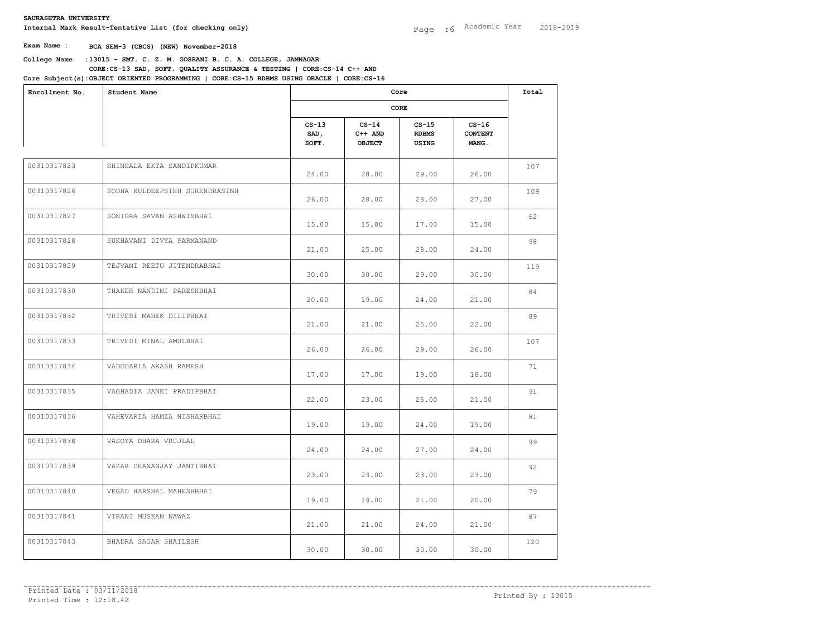**College Name** :**13015 - SMT. C. Z. M. GOSRANI B. C. A. COLLEGE, JAMNAGAR** Internal Mark Result-Tentative List (for checking only)<br>
Exam Name : BCA SEM-3 (CBCS) (NEW) November-2018<br>
College Name :13015 - SMT. C. Z. M. GOSRANI B. C. A. COLLEGE, JAMNAGAR<br>
CORE:CS-13 SAD, SOFT. QUALITY ASSURANCE & T **CORE:CS-13 SAD, SOFT. QUALITY ASSURANCE & TESTING | CORE:CS-14 C++ AND** 

| Enrollment No.<br>Student Name                |                          | Core<br>CORE                          |                                  |                                    |     |  |
|-----------------------------------------------|--------------------------|---------------------------------------|----------------------------------|------------------------------------|-----|--|
|                                               |                          |                                       |                                  |                                    |     |  |
|                                               | $CS-13$<br>SAD,<br>SOFT. | $CS-14$<br>$C++$ AND<br><b>OBJECT</b> | $CS-15$<br><b>RDBMS</b><br>USING | $CS-16$<br><b>CONTENT</b><br>MANG. |     |  |
| 00310317823<br>SHINGALA EKTA SANDIPKUMAR      | 24.00                    | 28.00                                 | 29.00                            | 26.00                              | 107 |  |
| 00310317826<br>SODHA KULDEEPSINH SURENDRASINH | 26.00                    | 28.00                                 | 28.00                            | 27.00                              | 109 |  |
| 00310317827<br>SONIGRA SAVAN ASHWINBHAI       | 15.00                    | 15.00                                 | 17.00                            | 15.00                              | 62  |  |
| 00310317828<br>SUKHAVANI DIVYA PARMANAND      | 21.00                    | 25.00                                 | 28.00                            | 24.00                              | 98  |  |
| 00310317829<br>TEJVANI REETU JITENDRABHAI     | 30.00                    | 30.00                                 | 29.00                            | 30.00                              | 119 |  |
| 00310317830<br>THAKER NANDINI PARESHBHAI      | 20.00                    | 19.00                                 | 24.00                            | 21.00                              | 84  |  |
| 00310317832<br>TRIVEDI MAHEK DILIPBHAI        | 21.00                    | 21.00                                 | 25.00                            | 22.00                              | 89  |  |
| 00310317833<br>TRIVEDI MINAL AMULBHAI         | 26.00                    | 26.00                                 | 29.00                            | 26.00                              | 107 |  |
| 00310317834<br>VADODARIA AKASH RAMESH         | 17.00                    | 17.00                                 | 19.00                            | 18.00                              | 71  |  |
| 00310317835<br>VAGHADIA JANKI PRADIPBHAI      | 22.00                    | 23.00                                 | 25.00                            | 21.00                              | 91  |  |
| 00310317836<br>VAHEVARIA HAMZA NISHARBHAI     | 19.00                    | 19.00                                 | 24.00                            | 19.00                              | 81  |  |
| 00310317838<br>VASOYA DHARA VRUJLAL           | 24.00                    | 24.00                                 | 27.00                            | 24.00                              | 99  |  |
| 00310317839<br>VAZAR DHANANJAY JANTIBHAI      | 23.00                    | 23.00                                 | 23.00                            | 23.00                              | 92  |  |
| 00310317840<br>VEGAD HARSHAL MAHESHBHAI       | 19.00                    | 19.00                                 | 21.00                            | 20.00                              | 79  |  |
| 00310317841<br>VIRANI MUSKAN NAWAZ            | 21.00                    | 21.00                                 | 24.00                            | 21.00                              | 87  |  |
| 00310317843<br>BHADRA SAGAR SHAILESH          | 30.00                    | 30.00                                 | 30.00                            | 30.00                              | 120 |  |